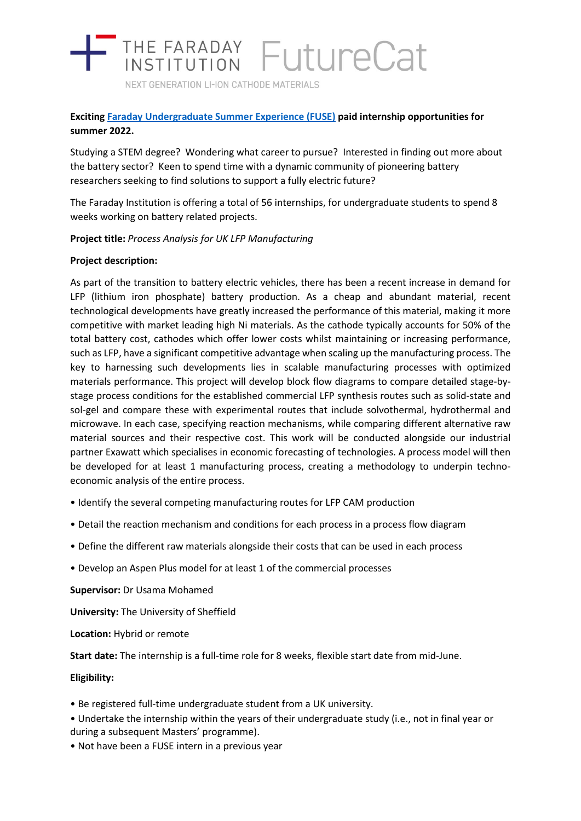

NEXT GENERATION LI-ION CATHODE MATERIALS

# **Exciting [Faraday Undergraduate Summer Experience \(FUSE\)](about:blank) paid internship opportunities for summer 2022.**

Studying a STEM degree? Wondering what career to pursue? Interested in finding out more about the battery sector? Keen to spend time with a dynamic community of pioneering battery researchers seeking to find solutions to support a fully electric future?

The Faraday Institution is offering a total of 56 internships, for undergraduate students to spend 8 weeks working on battery related projects.

**Project title:** *Process Analysis for UK LFP Manufacturing*

## **Project description:**

As part of the transition to battery electric vehicles, there has been a recent increase in demand for LFP (lithium iron phosphate) battery production. As a cheap and abundant material, recent technological developments have greatly increased the performance of this material, making it more competitive with market leading high Ni materials. As the cathode typically accounts for 50% of the total battery cost, cathodes which offer lower costs whilst maintaining or increasing performance, such as LFP, have a significant competitive advantage when scaling up the manufacturing process. The key to harnessing such developments lies in scalable manufacturing processes with optimized materials performance. This project will develop block flow diagrams to compare detailed stage-bystage process conditions for the established commercial LFP synthesis routes such as solid-state and sol-gel and compare these with experimental routes that include solvothermal, hydrothermal and microwave. In each case, specifying reaction mechanisms, while comparing different alternative raw material sources and their respective cost. This work will be conducted alongside our industrial partner Exawatt which specialises in economic forecasting of technologies. A process model will then be developed for at least 1 manufacturing process, creating a methodology to underpin technoeconomic analysis of the entire process.

- Identify the several competing manufacturing routes for LFP CAM production
- Detail the reaction mechanism and conditions for each process in a process flow diagram
- Define the different raw materials alongside their costs that can be used in each process
- Develop an Aspen Plus model for at least 1 of the commercial processes

**Supervisor:** Dr Usama Mohamed

**University:** The University of Sheffield

**Location:** Hybrid or remote

**Start date:** The internship is a full-time role for 8 weeks, flexible start date from mid-June.

**Eligibility:**

- Be registered full-time undergraduate student from a UK university.
- Undertake the internship within the years of their undergraduate study (i.e., not in final year or during a subsequent Masters' programme).
- Not have been a FUSE intern in a previous year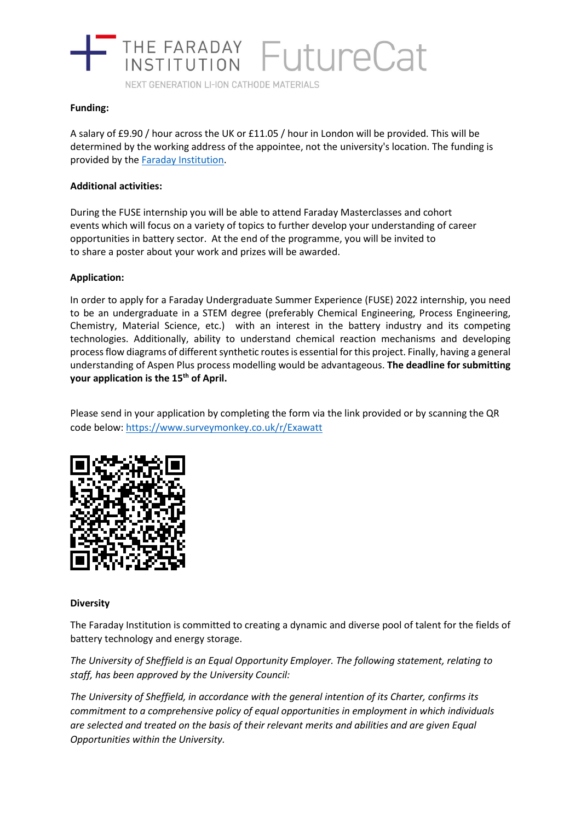

NEXT GENERATION LI-ION CATHODE MATERIALS

#### **Funding:**

A salary of £9.90 / hour across the UK or £11.05 / hour in London will be provided. This will be determined by the working address of the appointee, not the university's location. The funding is provided by the **Faraday Institution**.

#### **Additional activities:**

During the FUSE internship you will be able to attend Faraday Masterclasses and cohort events which will focus on a variety of topics to further develop your understanding of career opportunities in battery sector. At the end of the programme, you will be invited to to share a poster about your work and prizes will be awarded.

## **Application:**

In order to apply for a Faraday Undergraduate Summer Experience (FUSE) 2022 internship, you need to be an undergraduate in a STEM degree (preferably Chemical Engineering, Process Engineering, Chemistry, Material Science, etc.) with an interest in the battery industry and its competing technologies. Additionally, ability to understand chemical reaction mechanisms and developing process flow diagrams of different synthetic routes is essential for this project. Finally, having a general understanding of Aspen Plus process modelling would be advantageous. **The deadline for submitting your application is the 15th of April.**

Please send in your application by completing the form via the link provided or by scanning the QR code below:<https://www.surveymonkey.co.uk/r/Exawatt>



#### **Diversity**

The Faraday Institution is committed to creating a dynamic and diverse pool of talent for the fields of battery technology and energy storage.

*The University of Sheffield is an Equal Opportunity Employer. The following statement, relating to staff, has been approved by the University Council:*

*The University of Sheffield, in accordance with the general intention of its Charter, confirms its commitment to a comprehensive policy of equal opportunities in employment in which individuals are selected and treated on the basis of their relevant merits and abilities and are given Equal Opportunities within the University.*